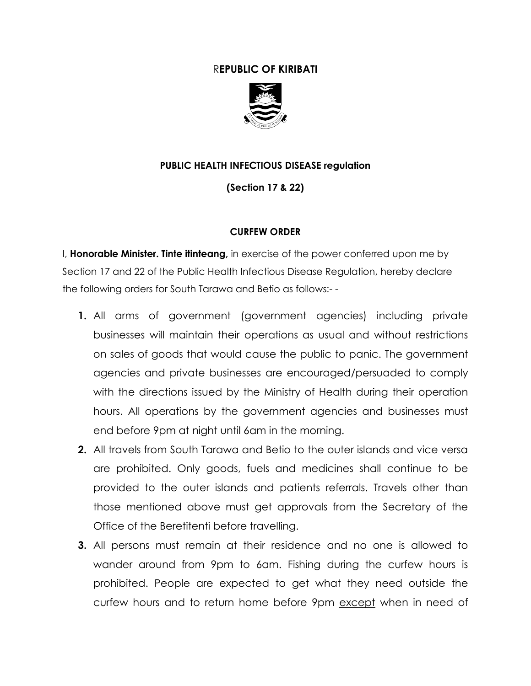## R**EPUBLIC OF KIRIBATI**



## **PUBLIC HEALTH INFECTIOUS DISEASE regulation**

**(Section 17 & 22)**

#### **CURFEW ORDER**

I, **Honorable Minister. Tinte itinteang,** in exercise of the power conferred upon me by Section 17 and 22 of the Public Health Infectious Disease Regulation, hereby declare the following orders for South Tarawa and Betio as follows:- -

- **1.** All arms of government (government agencies) including private businesses will maintain their operations as usual and without restrictions on sales of goods that would cause the public to panic. The government agencies and private businesses are encouraged/persuaded to comply with the directions issued by the Ministry of Health during their operation hours. All operations by the government agencies and businesses must end before 9pm at night until 6am in the morning.
- **2.** All travels from South Tarawa and Betio to the outer islands and vice versa are prohibited. Only goods, fuels and medicines shall continue to be provided to the outer islands and patients referrals. Travels other than those mentioned above must get approvals from the Secretary of the Office of the Beretitenti before travelling.
- **3.** All persons must remain at their residence and no one is allowed to wander around from 9pm to 6am. Fishing during the curfew hours is prohibited. People are expected to get what they need outside the curfew hours and to return home before 9pm except when in need of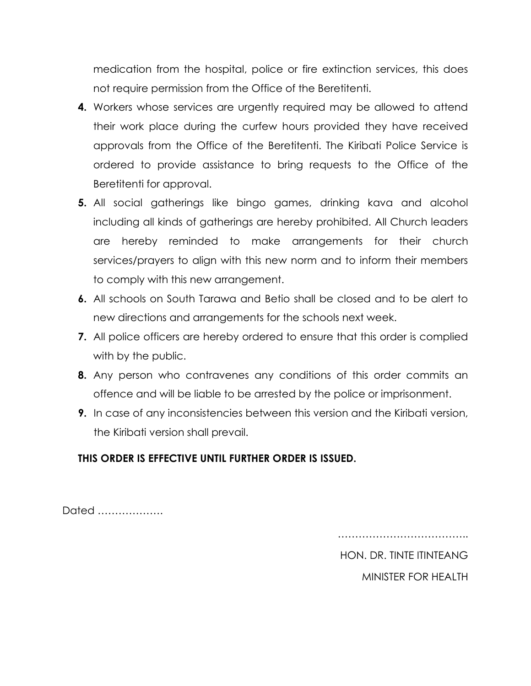medication from the hospital, police or fire extinction services, this does not require permission from the Office of the Beretitenti.

- **4.** Workers whose services are urgently required may be allowed to attend their work place during the curfew hours provided they have received approvals from the Office of the Beretitenti. The Kiribati Police Service is ordered to provide assistance to bring requests to the Office of the Beretitenti for approval.
- **5.** All social gatherings like bingo games, drinking kava and alcohol including all kinds of gatherings are hereby prohibited. All Church leaders are hereby reminded to make arrangements for their church services/prayers to align with this new norm and to inform their members to comply with this new arrangement.
- **6.** All schools on South Tarawa and Betio shall be closed and to be alert to new directions and arrangements for the schools next week.
- **7.** All police officers are hereby ordered to ensure that this order is complied with by the public.
- **8.** Any person who contravenes any conditions of this order commits an offence and will be liable to be arrested by the police or imprisonment.
- **9.** In case of any inconsistencies between this version and the Kiribati version, the Kiribati version shall prevail.

# **THIS ORDER IS EFFECTIVE UNTIL FURTHER ORDER IS ISSUED.**

Dated ……………….

………………………………………

HON. DR. TINTE ITINTEANG MINISTER FOR HEALTH